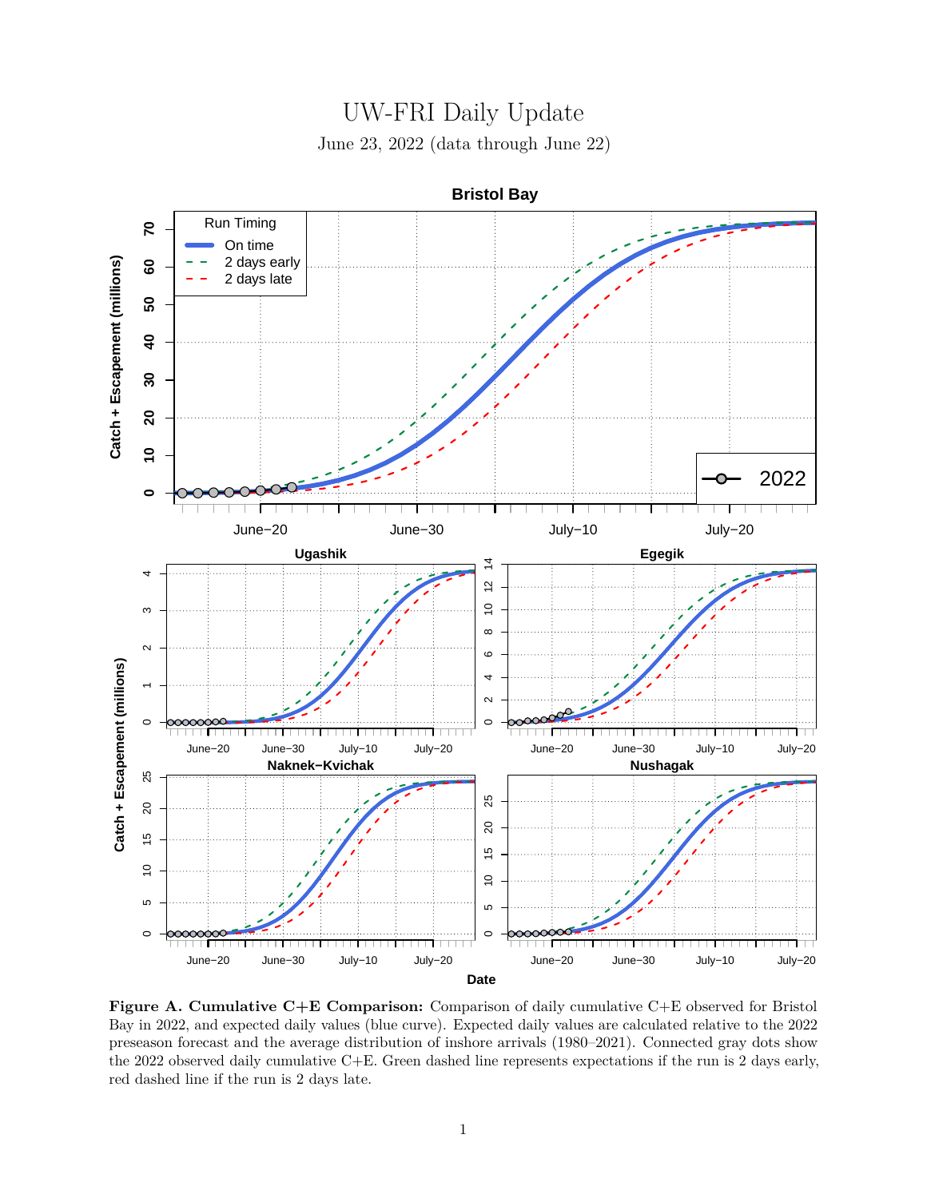



**Figure A. Cumulative C+E Comparison:** Comparison of daily cumulative C+E observed for Bristol Bay in 2022, and expected daily values (blue curve). Expected daily values are calculated relative to the 2022 preseason forecast and the average distribution of inshore arrivals (1980–2021). Connected gray dots show the 2022 observed daily cumulative C+E. Green dashed line represents expectations if the run is 2 days early, red dashed line if the run is 2 days late.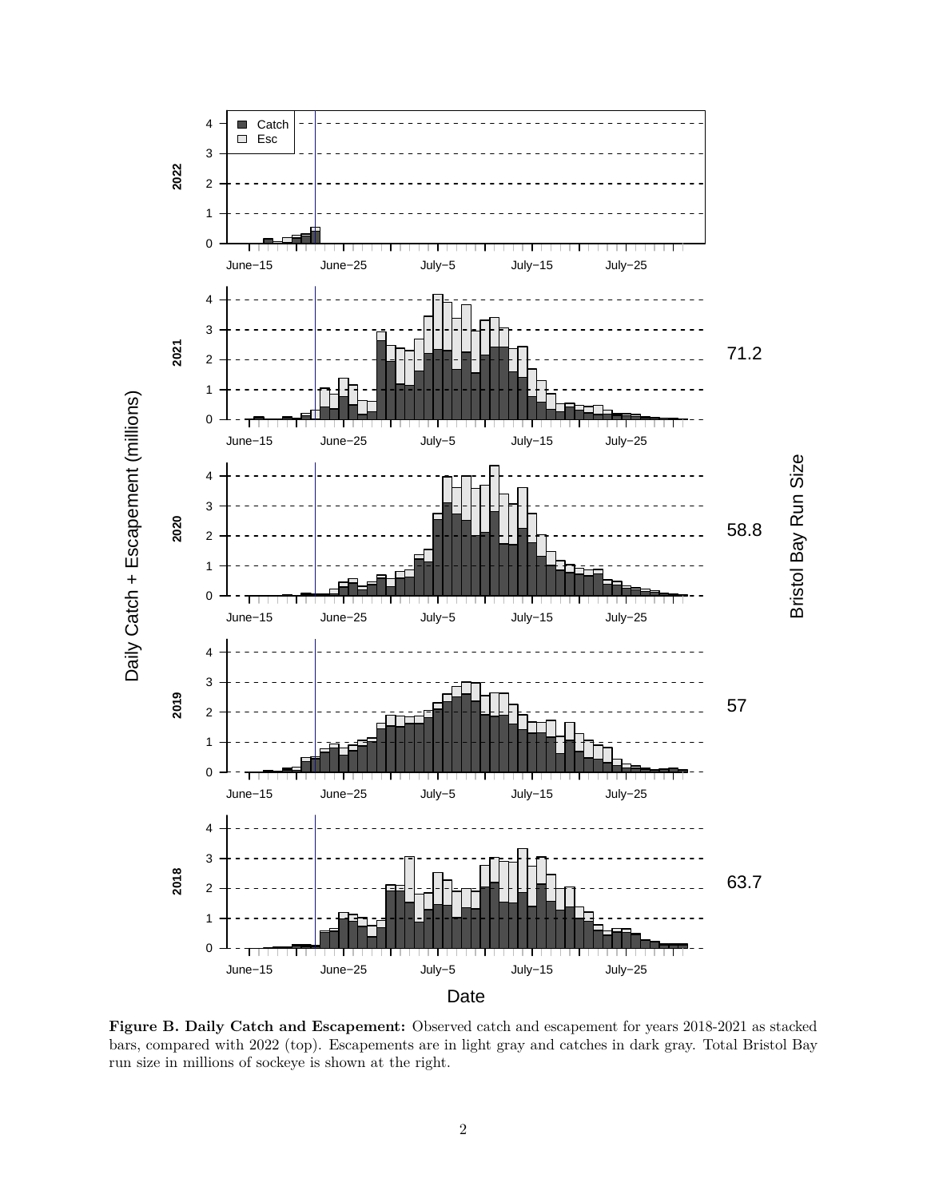

**Figure B. Daily Catch and Escapement:** Observed catch and escapement for years 2018-2021 as stacked bars, compared with 2022 (top). Escapements are in light gray and catches in dark gray. Total Bristol Bay run size in millions of sockeye is shown at the right.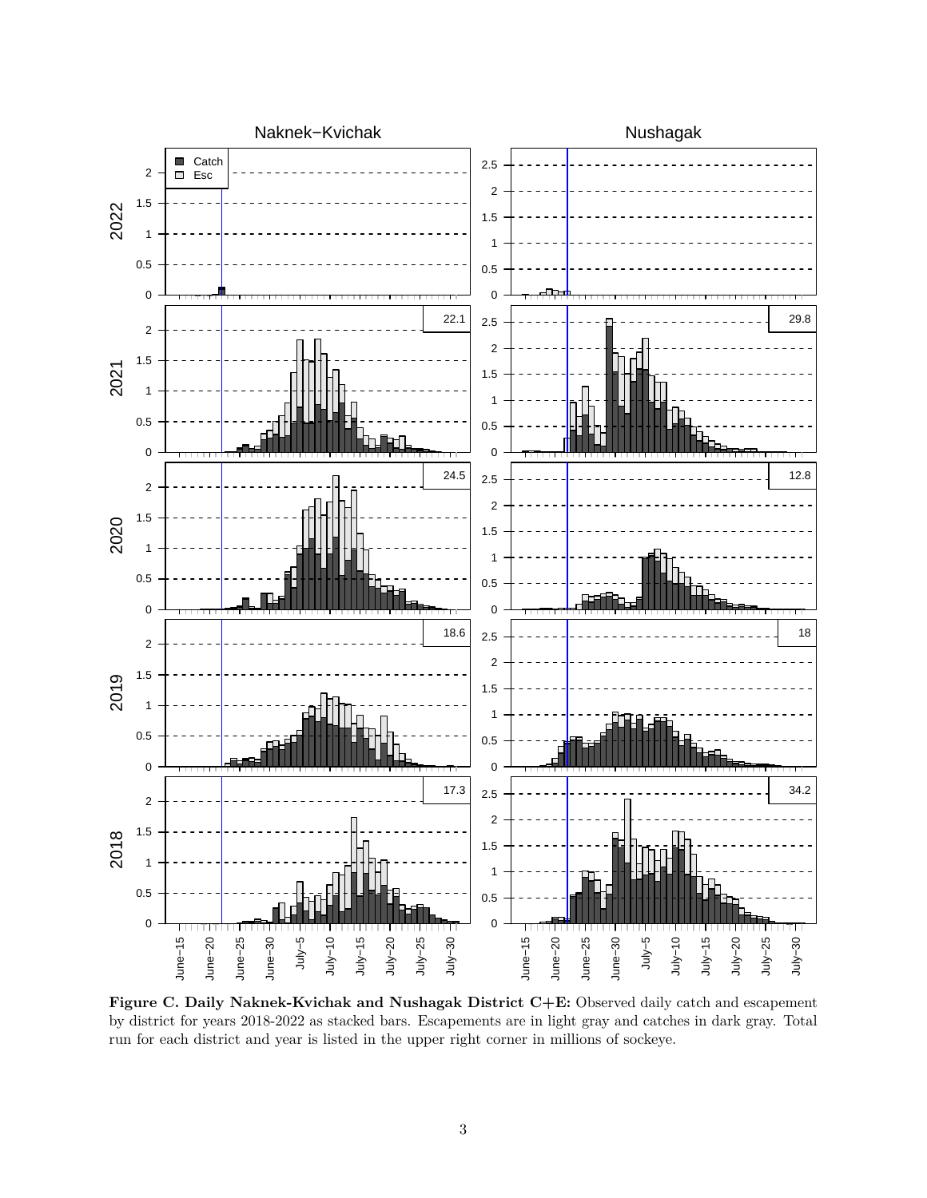

**Figure C. Daily Naknek-Kvichak and Nushagak District C+E:** Observed daily catch and escapement by district for years 2018-2022 as stacked bars. Escapements are in light gray and catches in dark gray. Total run for each district and year is listed in the upper right corner in millions of sockeye.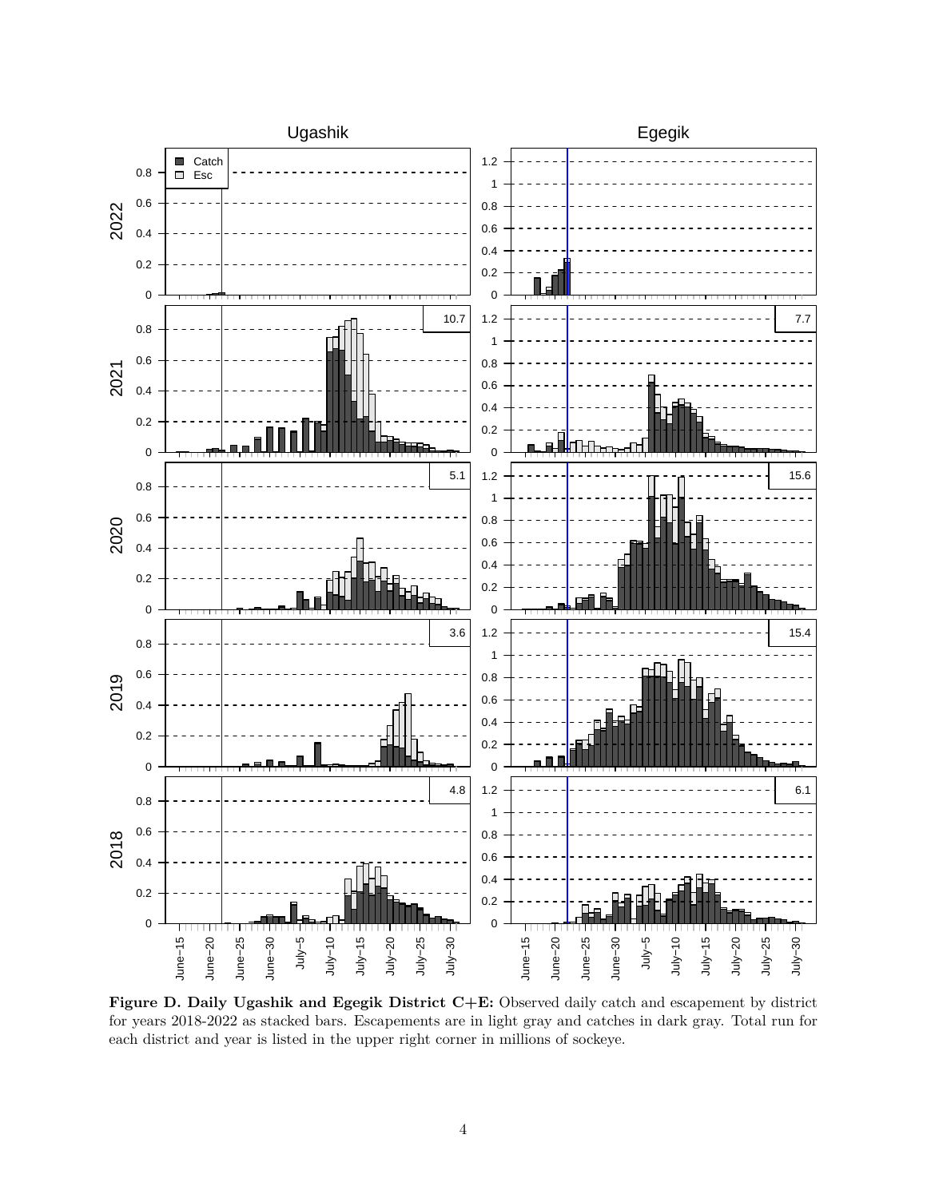

**Figure D. Daily Ugashik and Egegik District C+E:** Observed daily catch and escapement by district for years 2018-2022 as stacked bars. Escapements are in light gray and catches in dark gray. Total run for each district and year is listed in the upper right corner in millions of sockeye.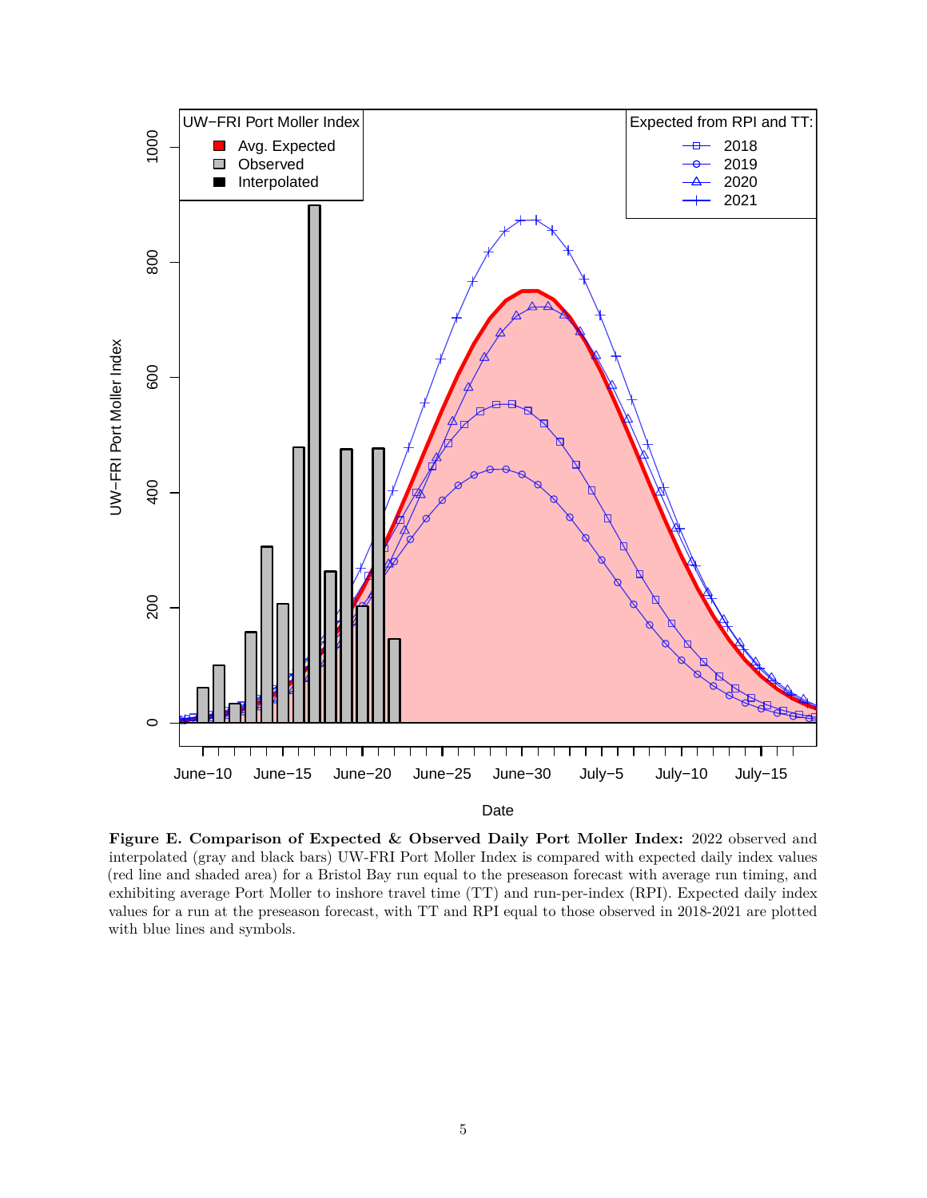

**Figure E. Comparison of Expected & Observed Daily Port Moller Index:** 2022 observed and interpolated (gray and black bars) UW-FRI Port Moller Index is compared with expected daily index values (red line and shaded area) for a Bristol Bay run equal to the preseason forecast with average run timing, and exhibiting average Port Moller to inshore travel time (TT) and run-per-index (RPI). Expected daily index values for a run at the preseason forecast, with TT and RPI equal to those observed in 2018-2021 are plotted with blue lines and symbols.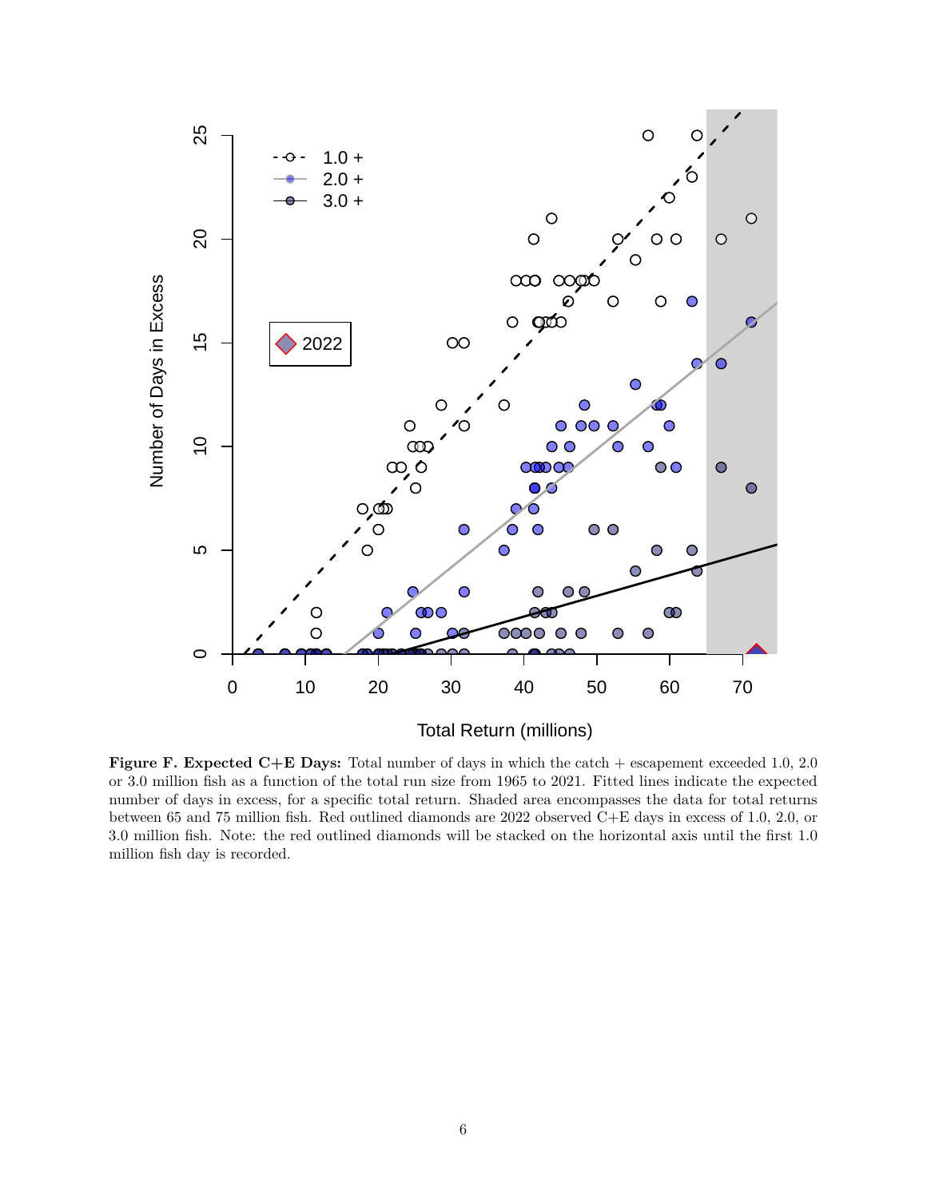

**Figure F. Expected C+E Days:** Total number of days in which the catch + escapement exceeded 1.0, 2.0 or 3.0 million fish as a function of the total run size from 1965 to 2021. Fitted lines indicate the expected number of days in excess, for a specific total return. Shaded area encompasses the data for total returns between 65 and 75 million fish. Red outlined diamonds are 2022 observed C+E days in excess of 1.0, 2.0, or 3.0 million fish. Note: the red outlined diamonds will be stacked on the horizontal axis until the first 1.0 million fish day is recorded.